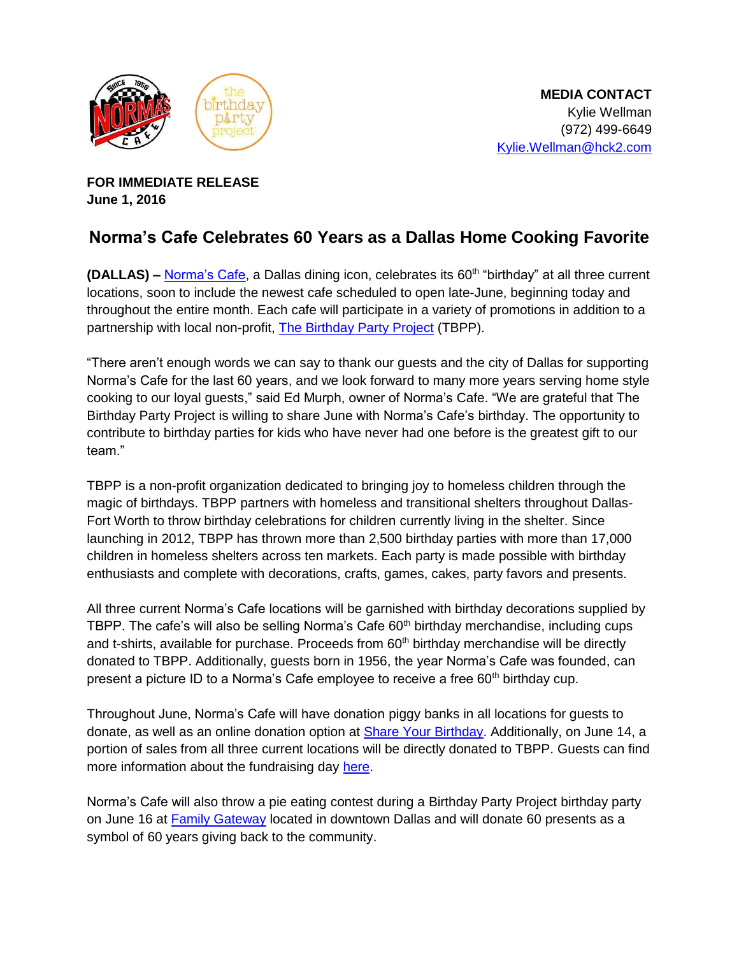

**FOR IMMEDIATE RELEASE June 1, 2016** 

## **Norma's Cafe Celebrates 60 Years as a Dallas Home Cooking Favorite**

**(DALLAS) –** [Norma's Cafe](http://normascafe.com/), a Dallas dining icon, celebrates its 60th "birthday" at all three current locations, soon to include the newest cafe scheduled to open late-June, beginning today and throughout the entire month. Each cafe will participate in a variety of promotions in addition to a partnership with local non-profit, [The Birthday Party Project \(TBPP\).](http://www.thebirthdaypartyproject.org/) 

"There aren't enough words we can say to thank our guests and the city of Dallas for supporting Norma's Cafe for the last 60 years, and we look forward to many more years serving home style cooking to our loyal guests," said Ed Murph, owner of Norma's Cafe. "We are grateful that The Birthday Party Project is willing to share June with Norma's Cafe's birthday. The opportunity to contribute to birthday parties for kids who have never had one before is the greatest gift to our team."

TBPP is a non-profit organization dedicated to bringing joy to homeless children through the magic of birthdays. TBPP partners with homeless and transitional shelters throughout Dallas-Fort Worth to throw birthday celebrations for children currently living in the shelter. Since launching in 2012, TBPP has thrown more than 2,500 birthday parties with more than 17,000 children in homeless shelters across ten markets. Each party is made possible with birthday enthusiasts and complete with decorations, crafts, games, cakes, party favors and presents.

All three current Norma's Cafe locations will be garnished with birthday decorations supplied by TBPP. The cafe's will also be selling Norma's Cafe 60<sup>th</sup> birthday merchandise, including cups and t-shirts, available for purchase. Proceeds from 60<sup>th</sup> birthday merchandise will be directly donated to TBPP. Additionally, guests born in 1956, the year Norma's Cafe was founded, can present a picture ID to a Norma's Cafe employee to receive a free 60<sup>th</sup> birthday cup.

Throughout June, Norma's Cafe will have donation piggy banks in all locations for guests to donate, as well as an online donation option at [Share Your Birthday.](https://tbpp.ejoinme.org/MyEvents/ShareYourBirthdayWebsite/CreateYourOwnFundraisingPageFundraising/tabid/485651/Default.aspx?joinme=52520) Additionally, on June 14, a portion of sales from all three current locations will be directly donated to TBPP. Guests can find more information about the fundraising day [here.](https://business.facebook.com/events/1796923000540320/)

Norma's Cafe will also throw a pie eating contest during a Birthday Party Project birthday party on June 16 at [Family Gateway](http://familygateway.org/) located in downtown Dallas and will donate 60 presents as a symbol of 60 years giving back to the community.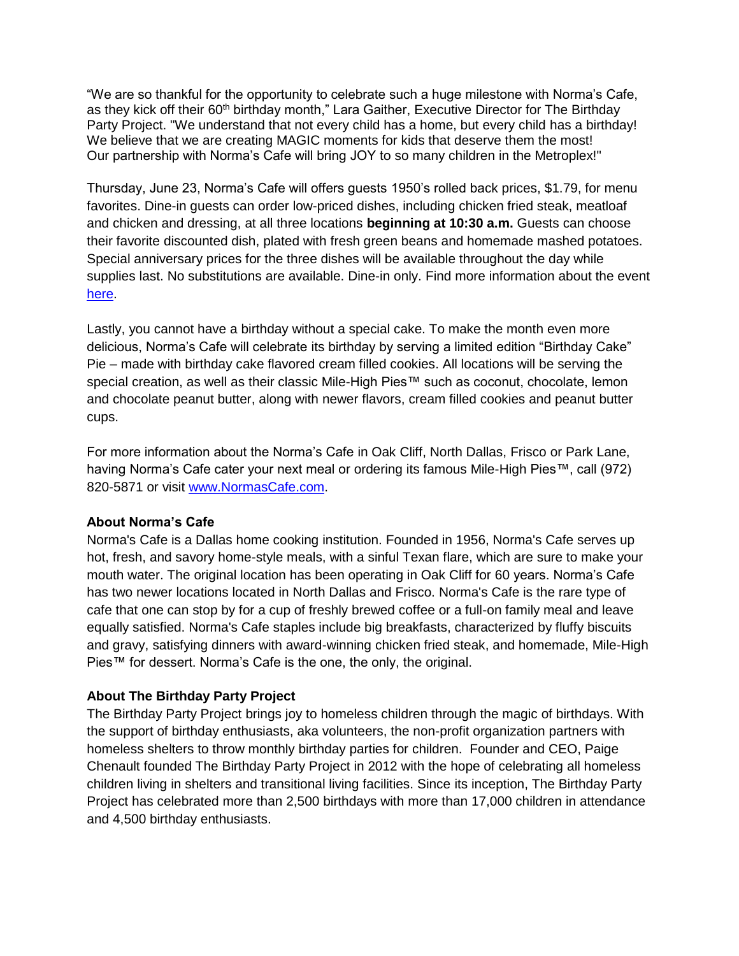"We are so thankful for the opportunity to celebrate such a huge milestone with Norma's Cafe, as they kick off their 60<sup>th</sup> birthday month," Lara Gaither, Executive Director for The Birthday Party Project. "We understand that not every child has a home, but every child has a birthday! We believe that we are creating MAGIC moments for kids that deserve them the most! Our partnership with Norma's Cafe will bring JOY to so many children in the Metroplex!"

Thursday, June 23, Norma's Cafe will offers guests 1950's rolled back prices, \$1.79, for menu favorites. Dine-in guests can order low-priced dishes, including chicken fried steak, meatloaf and chicken and dressing, at all three locations **beginning at 10:30 a.m.** Guests can choose their favorite discounted dish, plated with fresh green beans and homemade mashed potatoes. Special anniversary prices for the three dishes will be available throughout the day while supplies last. No substitutions are available. Dine-in only. Find more information about the event [here.](https://business.facebook.com/events/1572228949741987/)

Lastly, you cannot have a birthday without a special cake. To make the month even more delicious, Norma's Cafe will celebrate its birthday by serving a limited edition "Birthday Cake" Pie – made with birthday cake flavored cream filled cookies. All locations will be serving the special creation, as well as their classic Mile-High Pies™ such as coconut, chocolate, lemon and chocolate peanut butter, along with newer flavors, cream filled cookies and peanut butter cups.

For more information about the Norma's Cafe in Oak Cliff, North Dallas, Frisco or Park Lane, having Norma's Cafe cater your next meal or ordering its famous Mile-High Pies™, call (972) 820-5871 or visit [www.NormasCafe.com.](http://www.normascafe.com/)

## **About Norma's Cafe**

Norma's Cafe is a Dallas home cooking institution. Founded in 1956, Norma's Cafe serves up hot, fresh, and savory home-style meals, with a sinful Texan flare, which are sure to make your mouth water. The original location has been operating in Oak Cliff for 60 years. Norma's Cafe has two newer locations located in North Dallas and Frisco. Norma's Cafe is the rare type of cafe that one can stop by for a cup of freshly brewed coffee or a full-on family meal and leave equally satisfied. Norma's Cafe staples include big breakfasts, characterized by fluffy biscuits and gravy, satisfying dinners with award-winning chicken fried steak, and homemade, Mile-High Pies™ for dessert. Norma's Cafe is the one, the only, the original.

## **About The Birthday Party Project**

The Birthday Party Project brings joy to homeless children through the magic of birthdays. With the support of birthday enthusiasts, aka volunteers, the non-profit organization partners with homeless shelters to throw monthly birthday parties for children. Founder and CEO, Paige Chenault founded The Birthday Party Project in 2012 with the hope of celebrating all homeless children living in shelters and transitional living facilities. Since its inception, The Birthday Party Project has celebrated more than 2,500 birthdays with more than 17,000 children in attendance and 4,500 birthday enthusiasts.